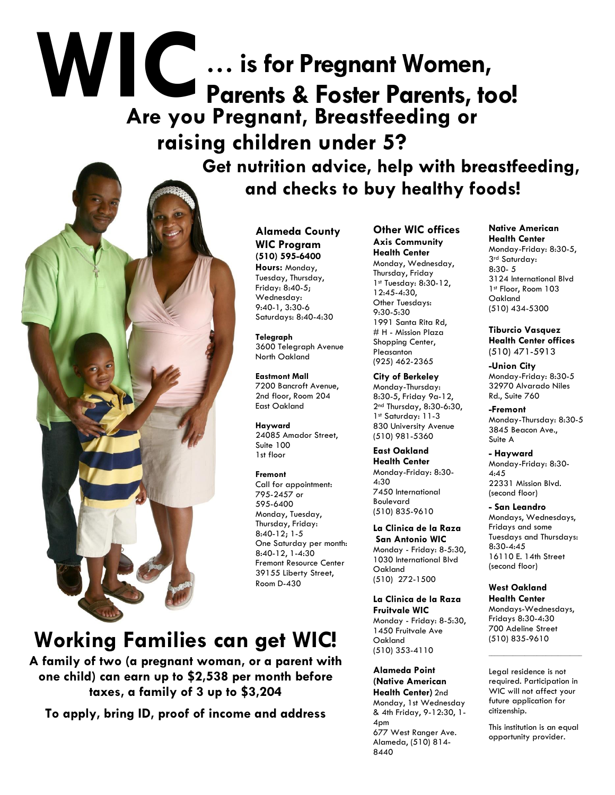# **WIC Are you Pregnant, Breastfeeding or raising children under 5? … is for Pregnant Women, Parents & Foster Parents, too!**

 **Get nutrition advice, help with breastfeeding, and checks to buy healthy foods!**

> **Alameda County WIC Program (510) 595-6400 Hours:** Monday, Tuesday, Thursday, Friday: 8:40-5; Wednesday: 9:40-1, 3:30-6 Saturdays: 8:40-4:30

> > **Telegraph** 3600 Telegraph Avenue North Oakland

**Eastmont Mall**  7200 Bancroft Avenue, 2nd floor, Room 204 East Oakland

**Hayward**  24085 Amador Street, Suite 100 1st floor

#### **Fremont**

Call for appointment: 795-2457 or 595-6400 Monday, Tuesday, Thursday, Friday: 8:40-12; 1-5 One Saturday per month: 8:40-12, 1-4:30 Fremont Resource Center 39155 Liberty Street, Room D-430

### **Working Families can get WIC!**

**A family of two (a pregnant woman, or a parent with one child) can earn up to \$2,538 per month before taxes, a family of 3 up to \$3,204**

**To apply, bring ID, proof of income and address** 

**Other WIC offices Axis Community Health Center**  Monday, Wednesday, Thursday, Friday 1st Tuesday: 8:30-12, 12:45-4:30, Other Tuesdays: 9:30-5:30 1991 Santa Rita Rd, # H - Mission Plaza Shopping Center, Pleasanton (925) 462-2365

**City of Berkeley**  Monday-Thursday: 8:30-5, Friday 9a-12, 2nd Thursday, 8:30-6:30, 1st Saturday: 11-3 830 University Avenue (510) 981-5360

**East Oakland Health Center** Monday-Friday: 8:30- 4:30 7450 International Boulevard (510) 835-9610

**La Clinica de la Raza San Antonio WIC** Monday - Friday: 8-5:30, 1030 International Blvd Oakland (510) 272-1500

**La Clinica de la Raza Fruitvale WIC** Monday - Friday: 8-5:30, 1450 Fruitvale Ave Oakland (510) 353-4110

**Alameda Point (Native American Health Center)** 2nd Monday, 1st Wednesday & 4th Friday, 9-12:30, 1- 4pm 677 West Ranger Ave. Alameda, (510) 814- 8440

#### **Native American Health Center** Monday-Friday: 8:30-5, 3rd Saturday: 8:30- 5 3124 International Blvd 1st Floor, Room 103 Oakland (510) 434-5300

**Tiburcio Vasquez Health Center offices** (510) 471-5913

**-Union City** Monday-Friday: 8:30-5 32970 Alvarado Niles Rd., Suite 760

**-Fremont** Monday-Thursday: 8:30-5 3845 Beacon Ave., Suite A

**- Hayward** Monday-Friday: 8:30- 4:45 22331 Mission Blvd. (second floor)

**- San Leandro** Mondays, Wednesdays, Fridays and some Tuesdays and Thursdays: 8:30-4:45 16110 E. 14th Street (second floor)

#### **West Oakland Health Center**

Mondays-Wednesdays, Fridays 8:30-4:30 700 Adeline Street (510) 835-9610

Legal residence is not required. Participation in WIC will not affect your future application for citizenship.

\_\_\_\_\_\_\_\_\_\_\_\_\_\_\_\_\_\_\_\_\_\_\_\_\_\_\_\_\_\_\_

This institution is an equal opportunity provider.